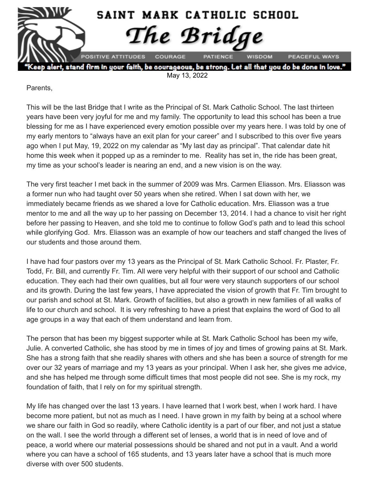

lert, stand firm in your faith, be courageous, be strong. Let all that you do be done in love May 13, 2022

Parents,

This will be the last Bridge that I write as the Principal of St. Mark Catholic School. The last thirteen years have been very joyful for me and my family. The opportunity to lead this school has been a true blessing for me as I have experienced every emotion possible over my years here. I was told by one of my early mentors to "always have an exit plan for your career" and I subscribed to this over five years ago when I put May, 19, 2022 on my calendar as "My last day as principal". That calendar date hit home this week when it popped up as a reminder to me. Reality has set in, the ride has been great, my time as your school's leader is nearing an end, and a new vision is on the way.

The very first teacher I met back in the summer of 2009 was Mrs. Carmen Eliasson. Mrs. Eliasson was a former nun who had taught over 50 years when she retired. When I sat down with her, we immediately became friends as we shared a love for Catholic education. Mrs. Eliasson was a true mentor to me and all the way up to her passing on December 13, 2014. I had a chance to visit her right before her passing to Heaven, and she told me to continue to follow God's path and to lead this school while glorifying God. Mrs. Eliasson was an example of how our teachers and staff changed the lives of our students and those around them.

I have had four pastors over my 13 years as the Principal of St. Mark Catholic School. Fr. Plaster, Fr. Todd, Fr. Bill, and currently Fr. Tim. All were very helpful with their support of our school and Catholic education. They each had their own qualities, but all four were very staunch supporters of our school and its growth. During the last few years, I have appreciated the vision of growth that Fr. Tim brought to our parish and school at St. Mark. Growth of facilities, but also a growth in new families of all walks of life to our church and school. It is very refreshing to have a priest that explains the word of God to all age groups in a way that each of them understand and learn from.

The person that has been my biggest supporter while at St. Mark Catholic School has been my wife, Julie. A converted Catholic, she has stood by me in times of joy and times of growing pains at St. Mark. She has a strong faith that she readily shares with others and she has been a source of strength for me over our 32 years of marriage and my 13 years as your principal. When I ask her, she gives me advice, and she has helped me through some difficult times that most people did not see. She is my rock, my foundation of faith, that I rely on for my spiritual strength.

My life has changed over the last 13 years. I have learned that I work best, when I work hard. I have become more patient, but not as much as I need. I have grown in my faith by being at a school where we share our faith in God so readily, where Catholic identity is a part of our fiber, and not just a statue on the wall. I see the world through a different set of lenses, a world that is in need of love and of peace, a world where our material possessions should be shared and not put in a vault. And a world where you can have a school of 165 students, and 13 years later have a school that is much more diverse with over 500 students.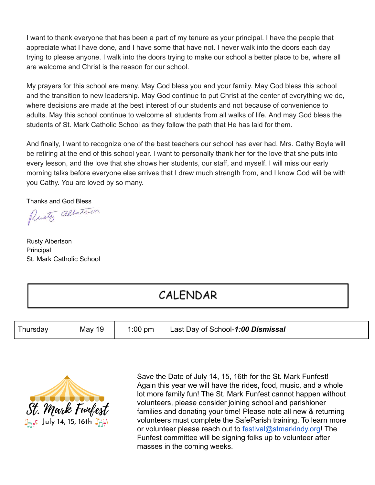I want to thank everyone that has been a part of my tenure as your principal. I have the people that appreciate what I have done, and I have some that have not. I never walk into the doors each day trying to please anyone. I walk into the doors trying to make our school a better place to be, where all are welcome and Christ is the reason for our school.

My prayers for this school are many. May God bless you and your family. May God bless this school and the transition to new leadership. May God continue to put Christ at the center of everything we do, where decisions are made at the best interest of our students and not because of convenience to adults. May this school continue to welcome all students from all walks of life. And may God bless the students of St. Mark Catholic School as they follow the path that He has laid for them.

And finally, I want to recognize one of the best teachers our school has ever had. Mrs. Cathy Boyle will be retiring at the end of this school year. I want to personally thank her for the love that she puts into every lesson, and the love that she shows her students, our staff, and myself. I will miss our early morning talks before everyone else arrives that I drew much strength from, and I know God will be with you Cathy. You are loved by so many.

Thanks and God Bless<br>Plusty alberts on

Rusty Albertson Principal St. Mark Catholic School

# CALENDAR

| I Thursday | May 19 | $1:00$ pm | Last Day of School-1:00 Dismissal |
|------------|--------|-----------|-----------------------------------|
|------------|--------|-----------|-----------------------------------|



Save the Date of July 14, 15, 16th for the St. Mark Funfest! Again this year we will have the rides, food, music, and a whole lot more family fun! The St. Mark Funfest cannot happen without volunteers, please consider joining school and parishioner families and donating your time! Please note all new & returning volunteers must complete the SafeParish training. To learn more or volunteer please reach out to festival@stmarkindy.org! The Funfest committee will be signing folks up to volunteer after masses in the coming weeks.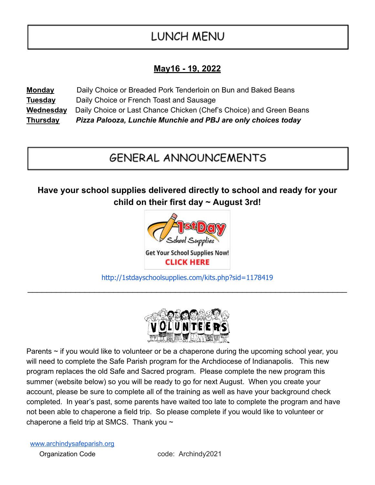# **LUNCH MENU**

### **May16 - 19, 2022**

**Monday** Daily Choice or Breaded Pork Tenderloin on Bun and Baked Beans **Tuesday** Daily Choice or French Toast and Sausage **Wednesday** Daily Choice or Last Chance Chicken (Chef's Choice) and Green Beans **Thursday** *Pizza Palooza, Lunchie Munchie and PBJ are only choices today*

# **GENERAL ANNOUNCEMENTS**

**Have your school supplies delivered directly to school and ready for your child on their first day ~ August 3rd!**



[http://1stdayschoolsupplies.com/kits.php?sid=1178419](http://click.email.1stdayschoolsupplies.com/?qs=46945f429e9a8db7702e89be71f3b0d4eef78093a8d63ec94a28a3cad94ea0d74c35e0f6fd48dfe32effb48f00d3e10965213564c457dd93)  $\overline{\phantom{a}}$  , and the contribution of the contribution of the contribution of the contribution of the contribution of the contribution of the contribution of the contribution of the contribution of the contribution of the



Parents  $\sim$  if you would like to volunteer or be a chaperone during the upcoming school year, you will need to complete the Safe Parish program for the Archdiocese of Indianapolis. This new program replaces the old Safe and Sacred program. Please complete the new program this summer (website below) so you will be ready to go for next August. When you create your account, please be sure to complete all of the training as well as have your background check completed. In year's past, some parents have waited too late to complete the program and have not been able to chaperone a field trip. So please complete if you would like to volunteer or chaperone a field trip at SMCS. Thank you ~

[www.archindysafeparish.org](http://www.archindysafeparish.org/) Organization Code code: Archindy2021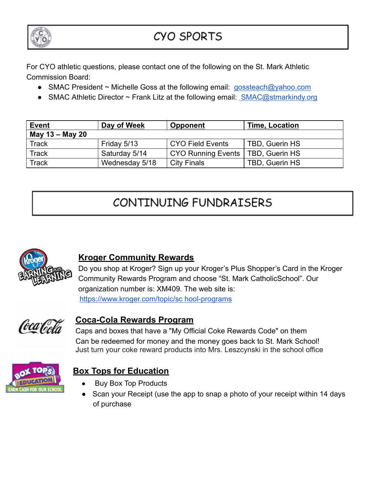

# CYO SPORTS

For CYO athletic questions, please contact one of the following on the St. Mark Athletic Commission Board:

- SMAC President ~ Michelle Goss at the following email: [gossteach@yahoo.com](mailto:gossteach@yahoo.com)
- SMAC Athletic Director  $\sim$  Frank Litz at the following email: [SMAC@stmarkindy.org](mailto:SMAC@stmarkindy.org)

| <b>Event</b>    | Day of Week    | <b>Opponent</b>           | <b>Time, Location</b> |  |  |
|-----------------|----------------|---------------------------|-----------------------|--|--|
| May 13 – May 20 |                |                           |                       |  |  |
| <b>Track</b>    | Friday 5/13    | <b>CYO Field Events</b>   | TBD, Guerin HS        |  |  |
| <b>Track</b>    | Saturday 5/14  | <b>CYO Running Events</b> | TBD, Guerin HS        |  |  |
| <b>Track</b>    | Wednesday 5/18 | <b>City Finals</b>        | TBD, Guerin HS        |  |  |

# CONTINUING FUNDRAISERS



#### **Kroger Community Rewards**

Do you shop at Kroger? Sign up your Kroger's Plus Shopper's Card in the Kroger Community Rewards Program and choose "St. Mark CatholicSchool". Our organization number is: XM409. The web site is: [https://www.kroger.com/topic/sc hool-programs](https://www.kroger.com/topic/sc)



#### **Coca-Cola Rewards Program**

Caps and boxes that have a "My Official Coke Rewards Code" on them Can be redeemed for money and the money goes back to St. Mark School! Just turn your coke reward products into Mrs. Leszcynski in the school office



### **Box Tops for Education**

- **Buy Box Top Products**
- Scan your Receipt (use the app to snap a photo of your receipt within 14 days of purchase